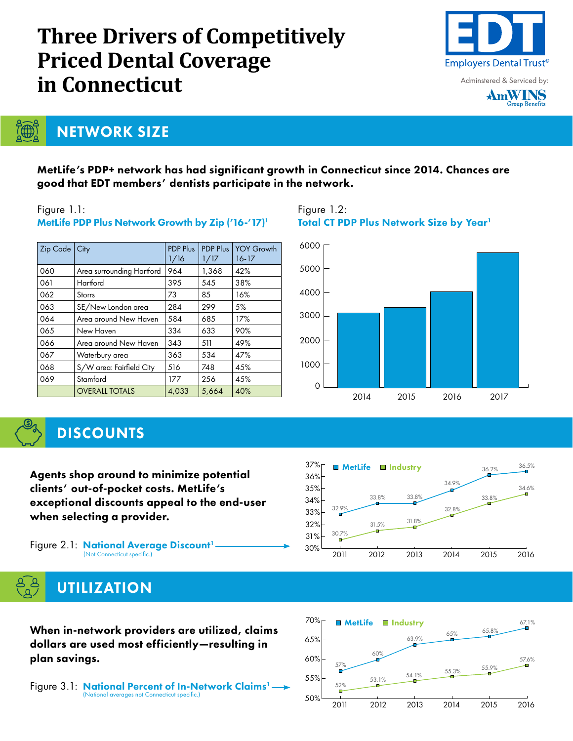# **Three Drivers of Competitively Priced Dental Coverage in Connecticut**



Adminstered & Serviced by:



NETWORK SIZE

## MetLife's PDP+ network has had significant growth in Connecticut since 2014. Chances are good that EDT members' dentists participate in the network.

### Figure 1.1:

**T∰** 

| Zip Code   City |                           | <b>PDP Plus</b><br>1/16 | PDP Plus<br>1/17 | <b>YOY Growth</b><br>$16 - 17$ |
|-----------------|---------------------------|-------------------------|------------------|--------------------------------|
| 060             | Area surrounding Hartford | 964                     | 1,368            | 42%                            |
| 061             | Hartford                  | 395                     | 545              | 38%                            |
| 062             | <b>Storrs</b>             | 73                      | 85               | 16%                            |
| 063             | SE/New London area        | 284                     | 299              | 5%                             |
| 064             | Area around New Haven     | 584                     | 685              | 17%                            |
| 065             | New Haven                 | 334                     | 633              | 90%                            |
| 066             | Area around New Haven     | 343                     | 511              | 49%                            |
| 067             | Waterbury area            | 363                     | 534              | 47%                            |
| 068             | S/W area: Fairfield City  | 516                     | 748              | 45%                            |
| 069             | Stamford                  | 177                     | 256              | 45%                            |
|                 | <b>OVERALL TOTALS</b>     | 4,033                   | 5,664            | 40%                            |

## MetLife PDP Plus Network Growth by Zip ('16-'17)<sup>1</sup>

#### Figure 1.2: Total CT PDP Plus Network Size by Year<sup>1</sup>



## **DISCOUNTS**

Agents shop around to minimize potential clients' out-of-pocket costs. MetLife's exceptional discounts appeal to the end-user when selecting a provider.

Figure 2.1: National Average Discount<sup>1</sup>  $\longrightarrow$  30% (Not Connecticut specific.)



## **UTILIZATION**

When in-network providers are utilized, claims dollars are used most efficiently—resulting in plan savings.

Figure 3.1: National Percent of In-Network Claims<sup>1</sup>-(National averages not Connecticut specific.)